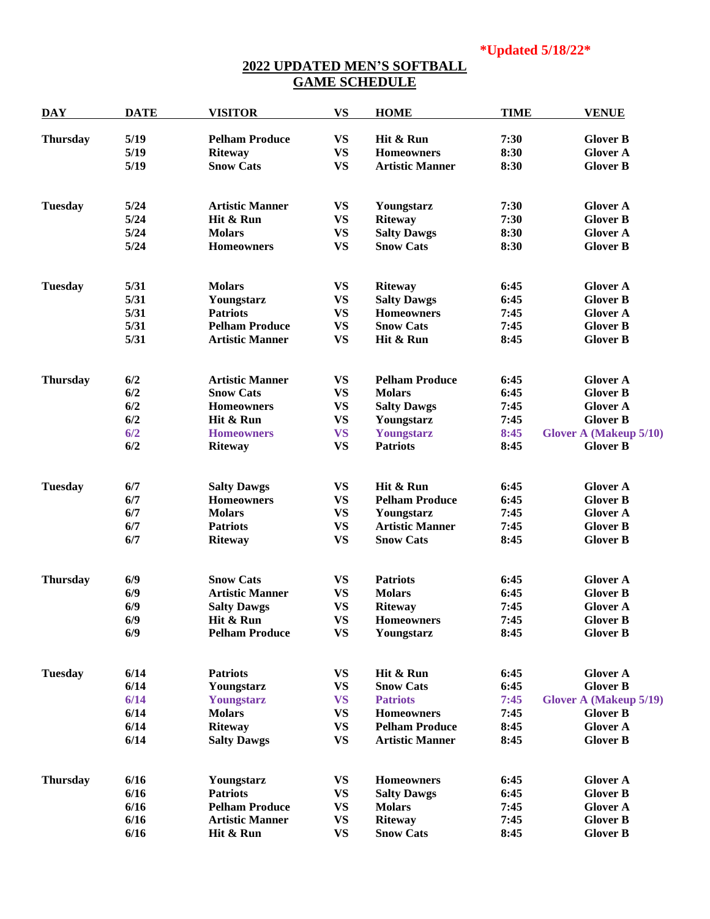## **2022 UPDATED MEN'S SOFTBALL GAME SCHEDULE**

| <b>DAY</b>      | <b>DATE</b> | <b>VISITOR</b>         | <b>VS</b>              | <b>HOME</b>            | <b>TIME</b> | <b>VENUE</b>                  |
|-----------------|-------------|------------------------|------------------------|------------------------|-------------|-------------------------------|
| <b>Thursday</b> | 5/19        | <b>Pelham Produce</b>  | <b>VS</b>              | Hit & Run              | 7:30        | <b>Glover B</b>               |
|                 | 5/19        | <b>Riteway</b>         | <b>VS</b>              | <b>Homeowners</b>      | 8:30        | <b>Glover A</b>               |
|                 | 5/19        | <b>Snow Cats</b>       | <b>VS</b>              | <b>Artistic Manner</b> | 8:30        | <b>Glover B</b>               |
| <b>Tuesday</b>  | 5/24        | <b>Artistic Manner</b> | <b>VS</b>              | Youngstarz             | 7:30        | <b>Glover A</b>               |
|                 | 5/24        | Hit & Run              | <b>VS</b>              | <b>Riteway</b>         | 7:30        | <b>Glover B</b>               |
|                 | 5/24        | <b>Molars</b>          | <b>VS</b>              | <b>Salty Dawgs</b>     | 8:30        | <b>Glover A</b>               |
|                 | 5/24        | <b>Homeowners</b>      | <b>VS</b>              | <b>Snow Cats</b>       | 8:30        | <b>Glover B</b>               |
| <b>Tuesday</b>  | 5/31        | <b>Molars</b>          | <b>VS</b>              | <b>Riteway</b>         | 6:45        | <b>Glover A</b>               |
|                 | 5/31        | Youngstarz             | <b>VS</b>              | <b>Salty Dawgs</b>     | 6:45        | <b>Glover B</b>               |
|                 | 5/31        | <b>Patriots</b>        | <b>VS</b>              | <b>Homeowners</b>      | 7:45        | <b>Glover A</b>               |
|                 | 5/31        | <b>Pelham Produce</b>  | <b>VS</b>              | <b>Snow Cats</b>       | 7:45        | <b>Glover B</b>               |
|                 | 5/31        | <b>Artistic Manner</b> | <b>VS</b>              | Hit & Run              | 8:45        | <b>Glover B</b>               |
| <b>Thursday</b> | 6/2         | <b>Artistic Manner</b> | <b>VS</b>              | <b>Pelham Produce</b>  | 6:45        | <b>Glover A</b>               |
|                 | 6/2         | <b>Snow Cats</b>       | <b>VS</b>              | <b>Molars</b>          | 6:45        | <b>Glover B</b>               |
|                 | 6/2         | <b>Homeowners</b>      | <b>VS</b>              | <b>Salty Dawgs</b>     | 7:45        | <b>Glover A</b>               |
|                 | 6/2         | Hit & Run              | <b>VS</b>              | Youngstarz             | 7:45        | <b>Glover B</b>               |
|                 | 6/2         | <b>Homeowners</b>      | <b>VS</b>              | Youngstarz             | 8:45        | <b>Glover A (Makeup 5/10)</b> |
|                 | 6/2         | <b>Riteway</b>         | <b>VS</b>              | <b>Patriots</b>        | 8:45        | <b>Glover B</b>               |
| <b>Tuesday</b>  | 6/7         | <b>Salty Dawgs</b>     | <b>VS</b>              | Hit & Run              | 6:45        | <b>Glover A</b>               |
|                 | 6/7         | <b>Homeowners</b>      | <b>VS</b>              | <b>Pelham Produce</b>  | 6:45        | <b>Glover B</b>               |
|                 | 6/7         | <b>Molars</b>          | <b>VS</b>              | Youngstarz             | 7:45        | <b>Glover A</b>               |
|                 | 6/7         | <b>Patriots</b>        | <b>VS</b>              | <b>Artistic Manner</b> | 7:45        | <b>Glover B</b>               |
|                 | 6/7         | <b>Riteway</b>         | <b>VS</b>              | <b>Snow Cats</b>       | 8:45        | <b>Glover B</b>               |
| <b>Thursday</b> | 6/9         | <b>Snow Cats</b>       | <b>VS</b>              | <b>Patriots</b>        | 6:45        | <b>Glover A</b>               |
|                 | 6/9         | <b>Artistic Manner</b> | <b>VS</b>              | <b>Molars</b>          | 6:45        | <b>Glover B</b>               |
|                 | 6/9         | <b>Salty Dawgs</b>     | <b>VS</b>              | <b>Riteway</b>         | 7:45        | <b>Glover A</b>               |
|                 | 6/9         | Hit & Run              | $\mathbf{V}\mathbf{S}$ | Homeowners             | 7:45        | <b>Glover B</b>               |
|                 | 6/9         | <b>Pelham Produce</b>  | <b>VS</b>              | Youngstarz             | 8:45        | <b>Glover B</b>               |
| <b>Tuesday</b>  | 6/14        | <b>Patriots</b>        | <b>VS</b>              | Hit & Run              | 6:45        | <b>Glover A</b>               |
|                 | 6/14        | Youngstarz             | <b>VS</b>              | <b>Snow Cats</b>       | 6:45        | <b>Glover B</b>               |
|                 | 6/14        | Youngstarz             | <b>VS</b>              | <b>Patriots</b>        | 7:45        | <b>Glover A (Makeup 5/19)</b> |
|                 | 6/14        | <b>Molars</b>          | <b>VS</b>              | <b>Homeowners</b>      | 7:45        | <b>Glover B</b>               |
|                 | 6/14        | <b>Riteway</b>         | <b>VS</b>              | <b>Pelham Produce</b>  | 8:45        | <b>Glover A</b>               |
|                 | 6/14        | <b>Salty Dawgs</b>     | <b>VS</b>              | <b>Artistic Manner</b> | 8:45        | <b>Glover B</b>               |
| <b>Thursday</b> | 6/16        | Youngstarz             | <b>VS</b>              | <b>Homeowners</b>      | 6:45        | <b>Glover A</b>               |
|                 | 6/16        | <b>Patriots</b>        | <b>VS</b>              | <b>Salty Dawgs</b>     | 6:45        | <b>Glover B</b>               |
|                 | 6/16        | <b>Pelham Produce</b>  | <b>VS</b>              | <b>Molars</b>          | 7:45        | <b>Glover A</b>               |
|                 | 6/16        | <b>Artistic Manner</b> | <b>VS</b>              | <b>Riteway</b>         | 7:45        | <b>Glover B</b>               |
|                 | 6/16        | Hit & Run              | <b>VS</b>              | <b>Snow Cats</b>       | 8:45        | <b>Glover B</b>               |